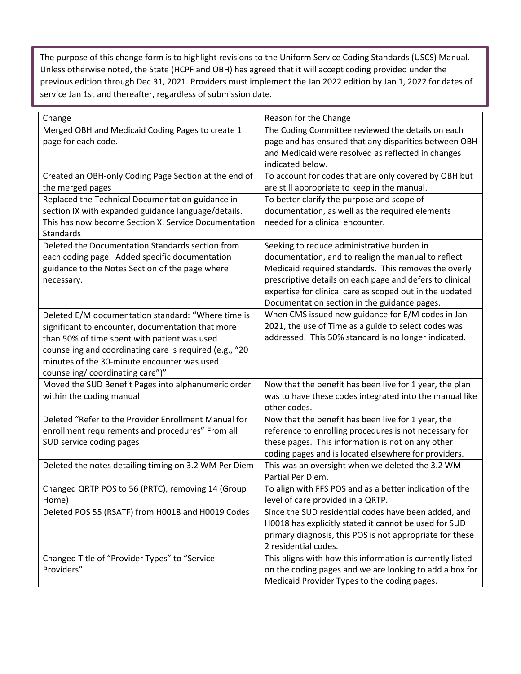The purpose of this change form is to highlight revisions to the Uniform Service Coding Standards (USCS) Manual. Unless otherwise noted, the State (HCPF and OBH) has agreed that it will accept coding provided under the previous edition through Dec 31, 2021. Providers must implement the Jan 2022 edition by Jan 1, 2022 for dates of service Jan 1st and thereafter, regardless of submission date.

| Change                                                                                 | Reason for the Change                                                                                       |
|----------------------------------------------------------------------------------------|-------------------------------------------------------------------------------------------------------------|
| Merged OBH and Medicaid Coding Pages to create 1                                       | The Coding Committee reviewed the details on each                                                           |
| page for each code.                                                                    | page and has ensured that any disparities between OBH<br>and Medicaid were resolved as reflected in changes |
|                                                                                        | indicated below.                                                                                            |
| Created an OBH-only Coding Page Section at the end of                                  | To account for codes that are only covered by OBH but                                                       |
| the merged pages                                                                       | are still appropriate to keep in the manual.                                                                |
| Replaced the Technical Documentation guidance in                                       | To better clarify the purpose and scope of                                                                  |
| section IX with expanded guidance language/details.                                    | documentation, as well as the required elements                                                             |
| This has now become Section X. Service Documentation                                   | needed for a clinical encounter.                                                                            |
| Standards<br>Deleted the Documentation Standards section from                          |                                                                                                             |
| each coding page. Added specific documentation                                         | Seeking to reduce administrative burden in<br>documentation, and to realign the manual to reflect           |
| guidance to the Notes Section of the page where                                        | Medicaid required standards. This removes the overly                                                        |
| necessary.                                                                             | prescriptive details on each page and defers to clinical                                                    |
|                                                                                        | expertise for clinical care as scoped out in the updated                                                    |
|                                                                                        | Documentation section in the guidance pages.                                                                |
| Deleted E/M documentation standard: "Where time is                                     | When CMS issued new guidance for E/M codes in Jan                                                           |
| significant to encounter, documentation that more                                      | 2021, the use of Time as a guide to select codes was                                                        |
| than 50% of time spent with patient was used                                           | addressed. This 50% standard is no longer indicated.                                                        |
| counseling and coordinating care is required (e.g., "20                                |                                                                                                             |
| minutes of the 30-minute encounter was used                                            |                                                                                                             |
| counseling/coordinating care")"<br>Moved the SUD Benefit Pages into alphanumeric order | Now that the benefit has been live for 1 year, the plan                                                     |
| within the coding manual                                                               | was to have these codes integrated into the manual like                                                     |
|                                                                                        | other codes.                                                                                                |
| Deleted "Refer to the Provider Enrollment Manual for                                   | Now that the benefit has been live for 1 year, the                                                          |
| enrollment requirements and procedures" From all                                       | reference to enrolling procedures is not necessary for                                                      |
| SUD service coding pages                                                               | these pages. This information is not on any other                                                           |
|                                                                                        | coding pages and is located elsewhere for providers.                                                        |
| Deleted the notes detailing timing on 3.2 WM Per Diem                                  | This was an oversight when we deleted the 3.2 WM<br>Partial Per Diem.                                       |
| Changed QRTP POS to 56 (PRTC), removing 14 (Group                                      | To align with FFS POS and as a better indication of the                                                     |
| Home)                                                                                  | level of care provided in a QRTP.                                                                           |
| Deleted POS 55 (RSATF) from H0018 and H0019 Codes                                      | Since the SUD residential codes have been added, and                                                        |
|                                                                                        | H0018 has explicitly stated it cannot be used for SUD                                                       |
|                                                                                        | primary diagnosis, this POS is not appropriate for these                                                    |
|                                                                                        | 2 residential codes.                                                                                        |
| Changed Title of "Provider Types" to "Service                                          | This aligns with how this information is currently listed                                                   |
| Providers"                                                                             | on the coding pages and we are looking to add a box for                                                     |
|                                                                                        | Medicaid Provider Types to the coding pages.                                                                |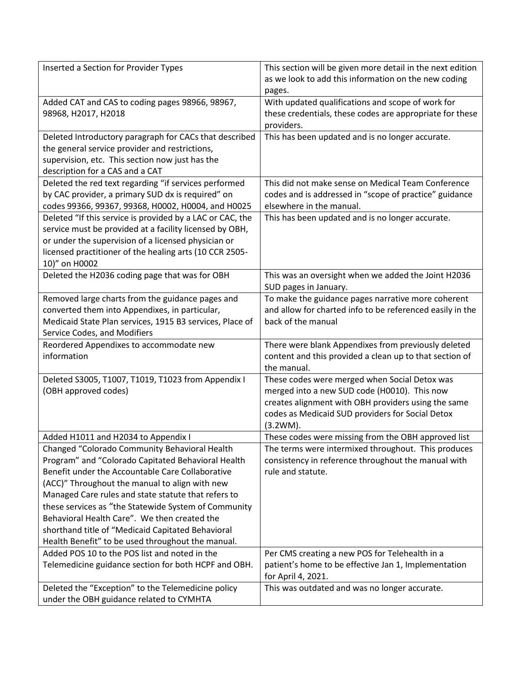| Inserted a Section for Provider Types                                                                  | This section will be given more detail in the next edition               |
|--------------------------------------------------------------------------------------------------------|--------------------------------------------------------------------------|
|                                                                                                        | as we look to add this information on the new coding                     |
|                                                                                                        | pages.                                                                   |
| Added CAT and CAS to coding pages 98966, 98967,                                                        | With updated qualifications and scope of work for                        |
| 98968, H2017, H2018                                                                                    | these credentials, these codes are appropriate for these                 |
|                                                                                                        | providers.                                                               |
| Deleted Introductory paragraph for CACs that described                                                 | This has been updated and is no longer accurate.                         |
| the general service provider and restrictions,                                                         |                                                                          |
| supervision, etc. This section now just has the<br>description for a CAS and a CAT                     |                                                                          |
| Deleted the red text regarding "if services performed                                                  | This did not make sense on Medical Team Conference                       |
| by CAC provider, a primary SUD dx is required" on                                                      | codes and is addressed in "scope of practice" guidance                   |
| codes 99366, 99367, 99368, H0002, H0004, and H0025                                                     | elsewhere in the manual.                                                 |
| Deleted "If this service is provided by a LAC or CAC, the                                              | This has been updated and is no longer accurate.                         |
| service must be provided at a facility licensed by OBH,                                                |                                                                          |
| or under the supervision of a licensed physician or                                                    |                                                                          |
| licensed practitioner of the healing arts (10 CCR 2505-                                                |                                                                          |
| 10)" on H0002                                                                                          |                                                                          |
| Deleted the H2036 coding page that was for OBH                                                         | This was an oversight when we added the Joint H2036                      |
|                                                                                                        | SUD pages in January.                                                    |
| Removed large charts from the guidance pages and                                                       | To make the guidance pages narrative more coherent                       |
| converted them into Appendixes, in particular,                                                         | and allow for charted info to be referenced easily in the                |
| Medicaid State Plan services, 1915 B3 services, Place of                                               | back of the manual                                                       |
| Service Codes, and Modifiers                                                                           |                                                                          |
| Reordered Appendixes to accommodate new                                                                | There were blank Appendixes from previously deleted                      |
| information                                                                                            | content and this provided a clean up to that section of                  |
|                                                                                                        | the manual.                                                              |
| Deleted S3005, T1007, T1019, T1023 from Appendix I                                                     | These codes were merged when Social Detox was                            |
| (OBH approved codes)                                                                                   | merged into a new SUD code (H0010). This now                             |
|                                                                                                        | creates alignment with OBH providers using the same                      |
|                                                                                                        | codes as Medicaid SUD providers for Social Detox                         |
|                                                                                                        | (3.2WM).                                                                 |
| Added H1011 and H2034 to Appendix I                                                                    | These codes were missing from the OBH approved list                      |
| Changed "Colorado Community Behavioral Health                                                          | The terms were intermixed throughout. This produces                      |
| Program" and "Colorado Capitated Behavioral Health<br>Benefit under the Accountable Care Collaborative | consistency in reference throughout the manual with<br>rule and statute. |
| (ACC)" Throughout the manual to align with new                                                         |                                                                          |
| Managed Care rules and state statute that refers to                                                    |                                                                          |
| these services as "the Statewide System of Community                                                   |                                                                          |
| Behavioral Health Care". We then created the                                                           |                                                                          |
| shorthand title of "Medicaid Capitated Behavioral                                                      |                                                                          |
| Health Benefit" to be used throughout the manual.                                                      |                                                                          |
| Added POS 10 to the POS list and noted in the                                                          | Per CMS creating a new POS for Telehealth in a                           |
| Telemedicine guidance section for both HCPF and OBH.                                                   | patient's home to be effective Jan 1, Implementation                     |
|                                                                                                        | for April 4, 2021.                                                       |
| Deleted the "Exception" to the Telemedicine policy                                                     | This was outdated and was no longer accurate.                            |
| under the OBH guidance related to CYMHTA                                                               |                                                                          |